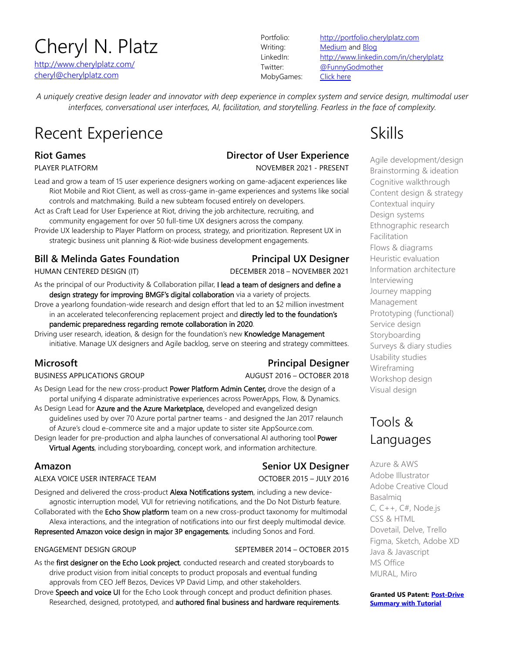# Cheryl N. Platz

http://www.cherylplatz.com/ cheryl@cherylplatz.com

MobyGames: Click here

Portfolio: http://portfolio.cherylplatz.com Writing: Medium and Blog LinkedIn: http://www.linkedin.com/in/cherylplatz Twitter: @FunnyGodmother

*A uniquely creative design leader and innovator with deep experience in complex system and service design, multimodal user interfaces, conversational user interfaces, AI, facilitation, and storytelling. Fearless in the face of complexity.*

# Recent Experience **Skills** Skills

## **Riot Games Director of User Experience**

PLAYER PLATFORM NOVEMBER 2021 - PRESENT

Lead and grow a team of 15 user experience designers working on game-adjacent experiences like Riot Mobile and Riot Client, as well as cross-game in-game experiences and systems like social controls and matchmaking. Build a new subteam focused entirely on developers.

Act as Craft Lead for User Experience at Riot, driving the job architecture, recruiting, and community engagement for over 50 full-time UX designers across the company.

Provide UX leadership to Player Platform on process, strategy, and prioritization. Represent UX in strategic business unit planning & Riot-wide business development engagements.

## **Bill & Melinda Gates Foundation Principal UX Designer**

HUMAN CENTERED DESIGN (IT) DECEMBER 2018 – NOVEMBER 2021

As the principal of our Productivity & Collaboration pillar, I lead a team of designers and define a design strategy for improving BMGF's digital collaboration via a variety of projects.

Drove a yearlong foundation-wide research and design effort that led to an \$2 million investment in an accelerated teleconferencing replacement project and directly led to the foundation's pandemic preparedness regarding remote collaboration in 2020.

Driving user research, ideation, & design for the foundation's new Knowledge Management initiative. Manage UX designers and Agile backlog, serve on steering and strategy committees.

### BUSINESS APPLICATIONS GROUP AUGUST 2016 - OCTOBER 2018

## **Microsoft Principal Designer**

As Design Lead for the new cross-product Power Platform Admin Center, drove the design of a portal unifying 4 disparate administrative experiences across PowerApps, Flow, & Dynamics.

As Design Lead for Azure and the Azure Marketplace, developed and evangelized design guidelines used by over 70 Azure portal partner teams - and designed the Jan 2017 relaunch of Azure's cloud e-commerce site and a major update to sister site AppSource.com.

Design leader for pre-production and alpha launches of conversational AI authoring tool Power Virtual Agents, including storyboarding, concept work, and information architecture.

## **Amazon Senior UX Designer**

ALEXA VOICE USER INTERFACE TEAM OCTOBER 2015 – JULY 2016

Designed and delivered the cross-product Alexa Notifications system, including a new deviceagnostic interruption model, VUI for retrieving notifications, and the Do Not Disturb feature.

Collaborated with the Echo Show platform team on a new cross-product taxonomy for multimodal Alexa interactions, and the integration of notifications into our first deeply multimodal device.

Represented Amazon voice design in major 3P engagements, including Sonos and Ford.

### ENGAGEMENT DESIGN GROUP SEPTEMBER 2014 – OCTOBER 2015

As the first designer on the Echo Look project, conducted research and created storyboards to drive product vision from initial concepts to product proposals and eventual funding approvals from CEO Jeff Bezos, Devices VP David Limp, and other stakeholders.

Drove Speech and voice UI for the Echo Look through concept and product definition phases. Researched, designed, prototyped, and authored final business and hardware requirements.

Agile development/design Brainstorming & ideation Cognitive walkthrough Content design & strategy Contextual inquiry Design systems Ethnographic research Facilitation Flows & diagrams Heuristic evaluation Information architecture Interviewing Journey mapping Management Prototyping (functional) Service design Storyboarding Surveys & diary studies Usability studies Wireframing Workshop design Visual design

## Tools & Languages

Azure & AWS Adobe Illustrator Adobe Creative Cloud Basalmiq C,  $C_{++}$ ,  $C_{+}$ , Node.js CSS & HTML Dovetail, Delve, Trello Figma, Sketch, Adobe XD Java & Javascript MS Office MURAL, Miro

**Granted US Patent: Post-Drive Summary with Tutorial**